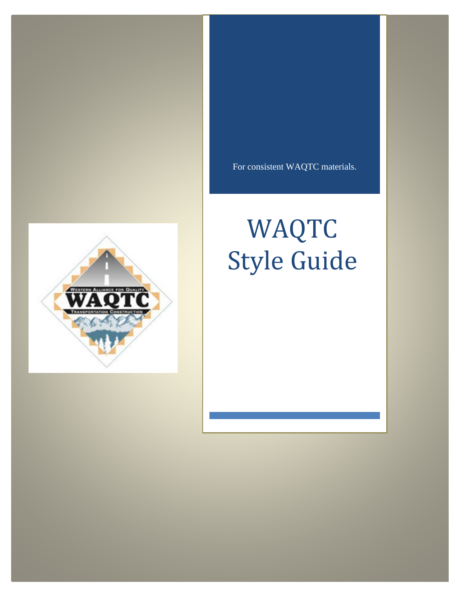For consistent WAQTC materials.

# WAQTC Style Guide

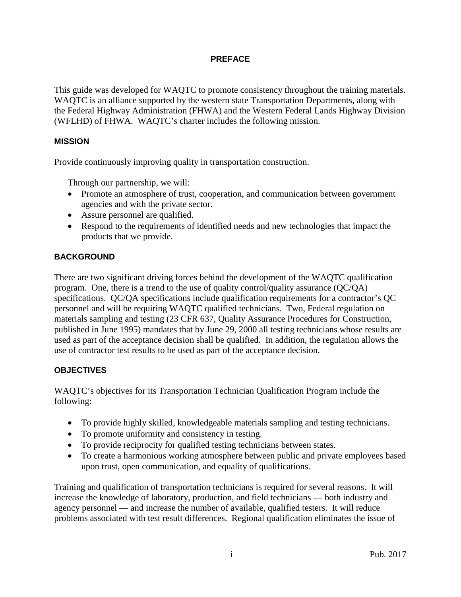## **PREFACE**

<span id="page-1-0"></span>This guide was developed for WAQTC to promote consistency throughout the training materials. WAQTC is an alliance supported by the western state Transportation Departments, along with the Federal Highway Administration (FHWA) and the Western Federal Lands Highway Division (WFLHD) of FHWA. WAQTC's charter includes the following mission.

## <span id="page-1-1"></span>**MISSION**

Provide continuously improving quality in transportation construction.

Through our partnership, we will:

- Promote an atmosphere of trust, cooperation, and communication between government agencies and with the private sector.
- Assure personnel are qualified.
- Respond to the requirements of identified needs and new technologies that impact the products that we provide.

# <span id="page-1-2"></span>**BACKGROUND**

There are two significant driving forces behind the development of the WAQTC qualification program. One, there is a trend to the use of quality control/quality assurance (QC/QA) specifications. QC/QA specifications include qualification requirements for a contractor's QC personnel and will be requiring WAQTC qualified technicians. Two, Federal regulation on materials sampling and testing (23 CFR 637, Quality Assurance Procedures for Construction, published in June 1995) mandates that by June 29, 2000 all testing technicians whose results are used as part of the acceptance decision shall be qualified. In addition, the regulation allows the use of contractor test results to be used as part of the acceptance decision.

# <span id="page-1-3"></span>**OBJECTIVES**

WAQTC's objectives for its Transportation Technician Qualification Program include the following:

- To provide highly skilled, knowledgeable materials sampling and testing technicians.
- To promote uniformity and consistency in testing.
- To provide reciprocity for qualified testing technicians between states.
- To create a harmonious working atmosphere between public and private employees based upon trust, open communication, and equality of qualifications.

Training and qualification of transportation technicians is required for several reasons. It will increase the knowledge of laboratory, production, and field technicians — both industry and agency personnel — and increase the number of available, qualified testers. It will reduce problems associated with test result differences. Regional qualification eliminates the issue of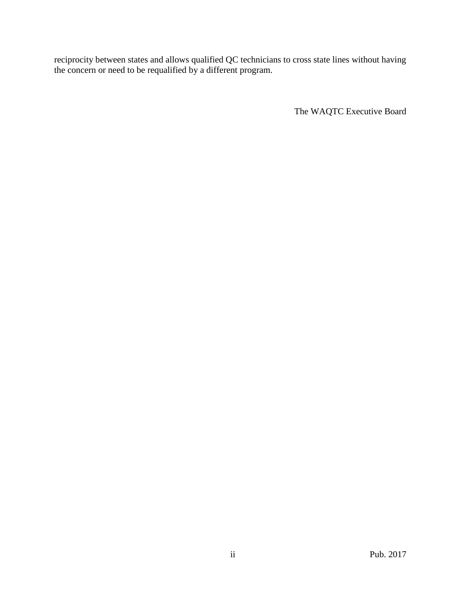reciprocity between states and allows qualified QC technicians to cross state lines without having the concern or need to be requalified by a different program.

The WAQTC Executive Board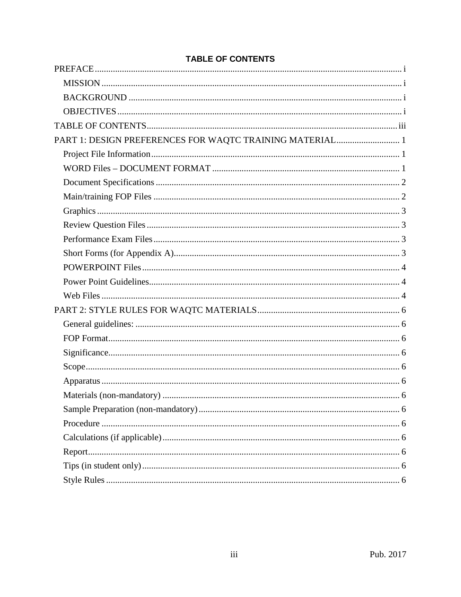# <span id="page-3-0"></span>**TABLE OF CONTENTS**

| PART 1: DESIGN PREFERENCES FOR WAQTC TRAINING MATERIAL 1 |  |
|----------------------------------------------------------|--|
|                                                          |  |
|                                                          |  |
|                                                          |  |
|                                                          |  |
|                                                          |  |
|                                                          |  |
|                                                          |  |
|                                                          |  |
|                                                          |  |
|                                                          |  |
|                                                          |  |
|                                                          |  |
|                                                          |  |
|                                                          |  |
|                                                          |  |
|                                                          |  |
|                                                          |  |
|                                                          |  |
|                                                          |  |
|                                                          |  |
|                                                          |  |
|                                                          |  |
|                                                          |  |
|                                                          |  |
|                                                          |  |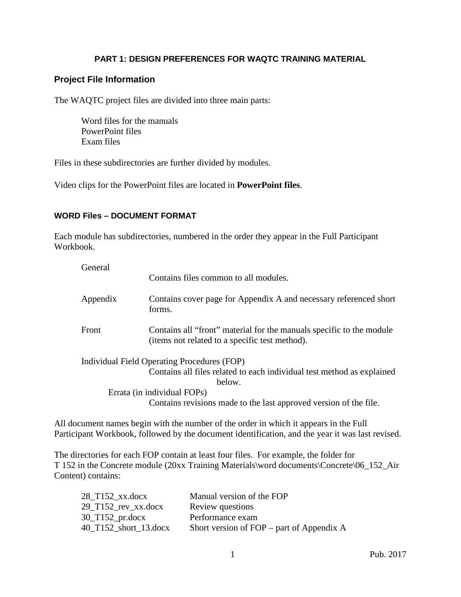## **PART 1: DESIGN PREFERENCES FOR WAQTC TRAINING MATERIAL**

# <span id="page-4-1"></span><span id="page-4-0"></span>**Project File Information**

The WAQTC project files are divided into three main parts:

Word files for the manuals PowerPoint files Exam files

Files in these subdirectories are further divided by modules.

Video clips for the PowerPoint files are located in **PowerPoint files**.

#### <span id="page-4-2"></span>**WORD Files – DOCUMENT FORMAT**

Each module has subdirectories, numbered in the order they appear in the Full Participant Workbook.

| General  | Contains files common to all modules.                                                                                  |
|----------|------------------------------------------------------------------------------------------------------------------------|
| Appendix | Contains cover page for Appendix A and necessary referenced short<br>forms.                                            |
| Front    | Contains all "front" material for the manuals specific to the module<br>(items not related to a specific test method). |
|          | Individual Field Operating Procedures (FOP)                                                                            |
|          | Contains all files related to each individual test method as explained                                                 |
|          | below.                                                                                                                 |
|          | Errata (in individual FOPs)                                                                                            |
|          | Contains revisions made to the last approved version of the file.                                                      |

All document names begin with the number of the order in which it appears in the Full Participant Workbook, followed by the document identification, and the year it was last revised.

The directories for each FOP contain at least four files. For example, the folder for T 152 in the Concrete module (20xx Training Materials\word documents\Concrete\06\_152\_Air Content) contains:

| 28 T152 xx.docx                                             | Manual version of the FOP                   |
|-------------------------------------------------------------|---------------------------------------------|
| $29$ <sub>T</sub> $152$ <sub>rev</sub> $xx.docx$            | Review questions                            |
| $30$ <sub>T</sub> $152$ <sub>pr.docx</sub>                  | Performance exam                            |
| $40$ <sub>T</sub> $152$ <sub>short</sub> <sub>13.docx</sub> | Short version of $FOP$ – part of Appendix A |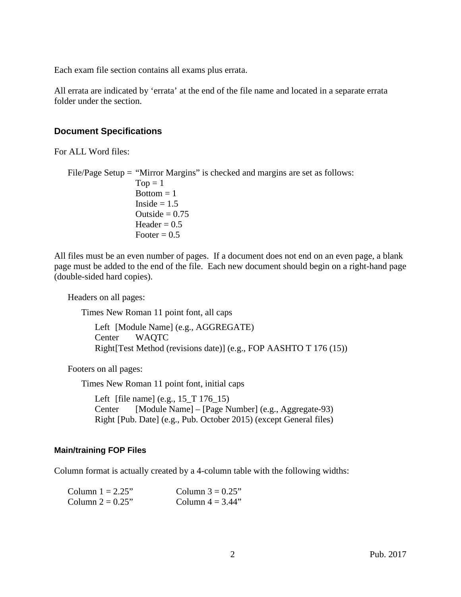Each exam file section contains all exams plus errata.

All errata are indicated by 'errata' at the end of the file name and located in a separate errata folder under the section.

# <span id="page-5-0"></span>**Document Specifications**

For ALL Word files:

File/Page Setup = "Mirror Margins" is checked and margins are set as follows:  $Top = 1$  $Bottom = 1$ Inside  $= 1.5$ Outside  $= 0.75$ Header  $= 0.5$ Footer  $= 0.5$ 

All files must be an even number of pages. If a document does not end on an even page, a blank page must be added to the end of the file. Each new document should begin on a right-hand page (double-sided hard copies).

Headers on all pages:

Times New Roman 11 point font, all caps

Left [Module Name] (e.g., AGGREGATE) Center WAQTC Right[Test Method (revisions date)] (e.g., FOP AASHTO T 176 (15))

Footers on all pages:

Times New Roman 11 point font, initial caps

Left [file name] (e.g., 15\_T 176\_15) Center [Module Name] – [Page Number] (e.g., Aggregate-93) Right [Pub. Date] (e.g., Pub. October 2015) (except General files)

## <span id="page-5-1"></span>**Main/training FOP Files**

Column format is actually created by a 4-column table with the following widths:

| Column $1 = 2.25$ " | Column $3 = 0.25$ " |
|---------------------|---------------------|
| Column $2 = 0.25$ " | Column $4 = 3.44$ " |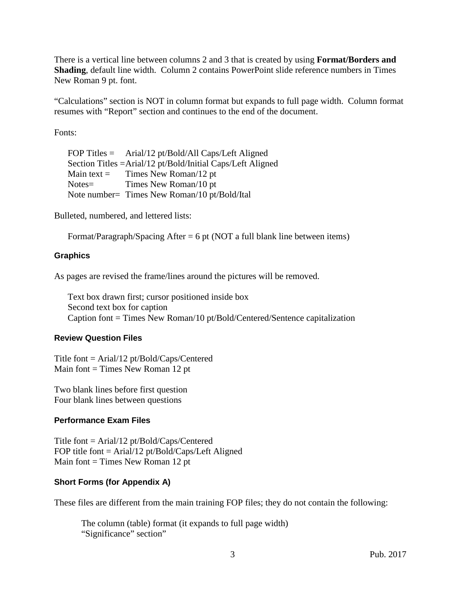There is a vertical line between columns 2 and 3 that is created by using **Format/Borders and Shading**, default line width. Column 2 contains PowerPoint slide reference numbers in Times New Roman 9 pt. font.

"Calculations" section is NOT in column format but expands to full page width. Column format resumes with "Report" section and continues to the end of the document.

Fonts:

FOP Titles = Arial/12 pt/Bold/All Caps/Left Aligned Section Titles =Arial/12 pt/Bold/Initial Caps/Left Aligned Main text = Times New Roman/12 pt Notes= Times New Roman/10 pt Note number= Times New Roman/10 pt/Bold/Ital

Bulleted, numbered, and lettered lists:

Format/Paragraph/Spacing After = 6 pt (NOT a full blank line between items)

#### <span id="page-6-0"></span>**Graphics**

As pages are revised the frame/lines around the pictures will be removed.

Text box drawn first; cursor positioned inside box Second text box for caption Caption font = Times New Roman/10 pt/Bold/Centered/Sentence capitalization

#### <span id="page-6-1"></span>**Review Question Files**

Title font = Arial/12 pt/Bold/Caps/Centered Main font  $=$  Times New Roman 12 pt

Two blank lines before first question Four blank lines between questions

#### <span id="page-6-2"></span>**Performance Exam Files**

Title font = Arial/12 pt/Bold/Caps/Centered FOP title font = Arial/12 pt/Bold/Caps/Left Aligned Main font  $=$  Times New Roman 12 pt

#### <span id="page-6-3"></span>**Short Forms (for Appendix A)**

These files are different from the main training FOP files; they do not contain the following:

The column (table) format (it expands to full page width) "Significance" section"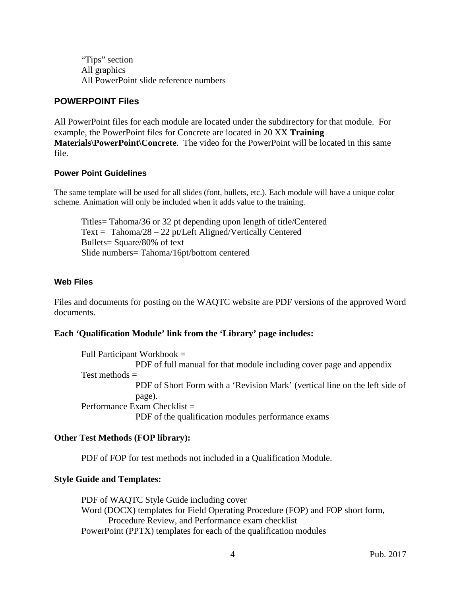"Tips" section All graphics All PowerPoint slide reference numbers

# <span id="page-7-0"></span>**POWERPOINT Files**

All PowerPoint files for each module are located under the subdirectory for that module. For example, the PowerPoint files for Concrete are located in 20 XX **Training Materials\PowerPoint\Concrete**. The video for the PowerPoint will be located in this same file.

## <span id="page-7-1"></span>**Power Point Guidelines**

The same template will be used for all slides (font, bullets, etc.). Each module will have a unique color scheme. Animation will only be included when it adds value to the training.

Titles= Tahoma/36 or 32 pt depending upon length of title/Centered Text = Tahoma/28 – 22 pt/Left Aligned/Vertically Centered Bullets= Square/80% of text Slide numbers= Tahoma/16pt/bottom centered

# <span id="page-7-2"></span>**Web Files**

Files and documents for posting on the WAQTC website are PDF versions of the approved Word documents.

# **Each 'Qualification Module' link from the 'Library' page includes:**

Full Participant Workbook = PDF of full manual for that module including cover page and appendix Test methods  $=$ PDF of Short Form with a 'Revision Mark' (vertical line on the left side of page). Performance Exam Checklist = PDF of the qualification modules performance exams

# **Other Test Methods (FOP library):**

PDF of FOP for test methods not included in a Qualification Module.

# **Style Guide and Templates:**

PDF of WAQTC Style Guide including cover Word (DOCX) templates for Field Operating Procedure (FOP) and FOP short form, Procedure Review, and Performance exam checklist PowerPoint (PPTX) templates for each of the qualification modules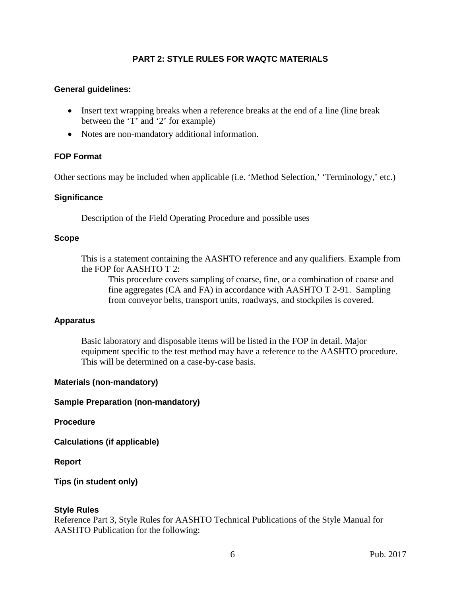## **PART 2: STYLE RULES FOR WAQTC MATERIALS**

#### <span id="page-9-1"></span><span id="page-9-0"></span>**General guidelines:**

- Insert text wrapping breaks when a reference breaks at the end of a line (line break between the 'T' and '2' for example)
- Notes are non-mandatory additional information.

#### <span id="page-9-2"></span>**FOP Format**

Other sections may be included when applicable (i.e. 'Method Selection,' 'Terminology,' etc.)

#### <span id="page-9-3"></span>**Significance**

Description of the Field Operating Procedure and possible uses

#### <span id="page-9-4"></span>**Scope**

This is a statement containing the AASHTO reference and any qualifiers. Example from the FOP for AASHTO T 2:

This procedure covers sampling of coarse, fine, or a combination of coarse and fine aggregates (CA and FA) in accordance with AASHTO T 2-91. Sampling from conveyor belts, transport units, roadways, and stockpiles is covered.

#### <span id="page-9-5"></span>**Apparatus**

Basic laboratory and disposable items will be listed in the FOP in detail. Major equipment specific to the test method may have a reference to the AASHTO procedure. This will be determined on a case-by-case basis.

#### <span id="page-9-6"></span>**Materials (non-mandatory)**

#### <span id="page-9-7"></span>**Sample Preparation (non-mandatory)**

#### <span id="page-9-8"></span>**Procedure**

<span id="page-9-9"></span>**Calculations (if applicable)**

<span id="page-9-10"></span>**Report**

<span id="page-9-11"></span>**Tips (in student only)**

#### <span id="page-9-12"></span>**Style Rules**

Reference Part 3, Style Rules for AASHTO Technical Publications of the Style Manual for AASHTO Publication for the following: